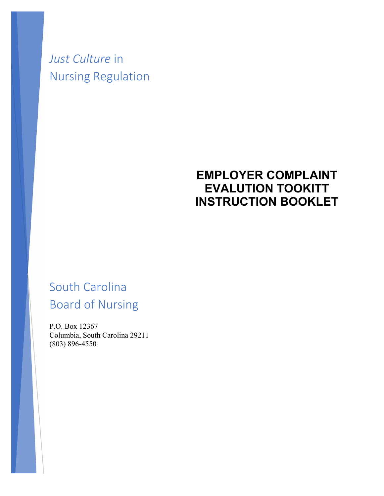# *Just Culture* in Nursing Regulation

## **EMPLOYER COMPLAINT EVALUTION TOOKITT INSTRUCTION BOOKLET**

# South Carolina Board of Nursing

P.O. Box 12367 Columbia, South Carolina 29211 (803) 896-4550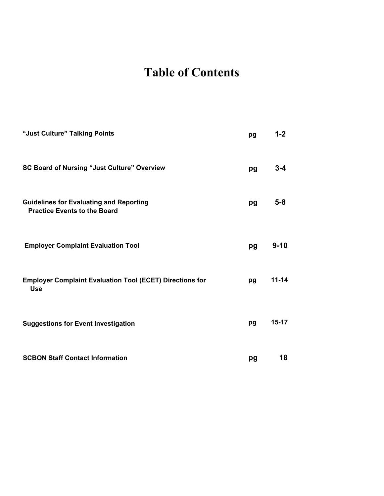# **Table of Contents**

| "Just Culture" Talking Points                                                         | pg | $1 - 2$   |
|---------------------------------------------------------------------------------------|----|-----------|
| <b>SC Board of Nursing "Just Culture" Overview</b>                                    | pg | $3 - 4$   |
| <b>Guidelines for Evaluating and Reporting</b><br><b>Practice Events to the Board</b> | pg | $5-8$     |
| <b>Employer Complaint Evaluation Tool</b>                                             | pg | $9 - 10$  |
| <b>Employer Complaint Evaluation Tool (ECET) Directions for</b><br><b>Use</b>         | pg | $11 - 14$ |
| <b>Suggestions for Event Investigation</b>                                            | pg | $15 - 17$ |
| <b>SCBON Staff Contact Information</b>                                                | pg | 18        |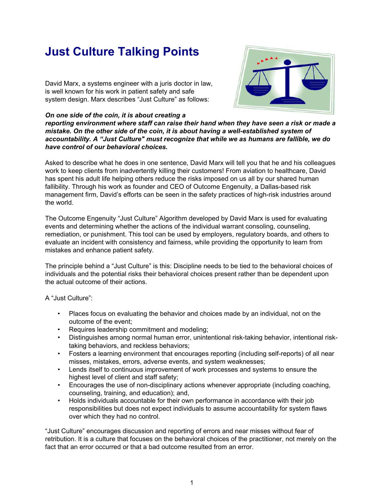## **Just Culture Talking Points**

David Marx, a systems engineer with a juris doctor in law, is well known for his work in patient safety and safe system design. Marx describes "Just Culture" as follows:



*On one side of the coin, it is about creating a reporting environment where staff can raise their hand when they have seen a risk or made a mistake. On the other side of the coin, it is about having a well-established system of accountability. A "Just Culture" must recognize that while we as humans are fallible, we do have control of our behavioral choices.*

Asked to describe what he does in one sentence, David Marx will tell you that he and his colleagues work to keep clients from inadvertently killing their customers! From aviation to healthcare, David has spent his adult life helping others reduce the risks imposed on us all by our shared human fallibility. Through his work as founder and CEO of Outcome Engenuity, a Dallas-based risk management firm, David's efforts can be seen in the safety practices of high-risk industries around the world.

The Outcome Engenuity "Just Culture" Algorithm developed by David Marx is used for evaluating events and determining whether the actions of the individual warrant consoling, counseling, remediation, or punishment. This tool can be used by employers, regulatory boards, and others to evaluate an incident with consistency and fairness, while providing the opportunity to learn from mistakes and enhance patient safety.

The principle behind a "Just Culture" is this: Discipline needs to be tied to the behavioral choices of individuals and the potential risks their behavioral choices present rather than be dependent upon the actual outcome of their actions.

A "Just Culture":

- Places focus on evaluating the behavior and choices made by an individual, not on the outcome of the event;
- Requires leadership commitment and modeling;
- Distinguishes among normal human error, unintentional risk-taking behavior, intentional risktaking behaviors, and reckless behaviors;
- Fosters a learning environment that encourages reporting (including self-reports) of all near misses, mistakes, errors, adverse events, and system weaknesses;
- Lends itself to continuous improvement of work processes and systems to ensure the highest level of client and staff safety;
- Encourages the use of non-disciplinary actions whenever appropriate (including coaching, counseling, training, and education); and,
- Holds individuals accountable for their own performance in accordance with their job responsibilities but does not expect individuals to assume accountability for system flaws over which they had no control.

"Just Culture" encourages discussion and reporting of errors and near misses without fear of retribution. It is a culture that focuses on the behavioral choices of the practitioner, not merely on the fact that an error occurred or that a bad outcome resulted from an error.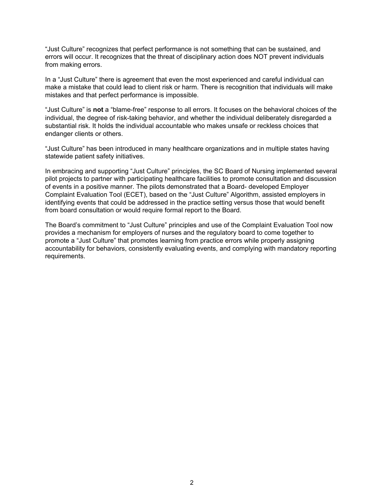"Just Culture" recognizes that perfect performance is not something that can be sustained, and errors will occur. It recognizes that the threat of disciplinary action does NOT prevent individuals from making errors.

In a "Just Culture" there is agreement that even the most experienced and careful individual can make a mistake that could lead to client risk or harm. There is recognition that individuals will make mistakes and that perfect performance is impossible.

"Just Culture" is **not** a "blame-free" response to all errors. It focuses on the behavioral choices of the individual, the degree of risk-taking behavior, and whether the individual deliberately disregarded a substantial risk. It holds the individual accountable who makes unsafe or reckless choices that endanger clients or others.

"Just Culture" has been introduced in many healthcare organizations and in multiple states having statewide patient safety initiatives.

In embracing and supporting "Just Culture" principles, the SC Board of Nursing implemented several pilot projects to partner with participating healthcare facilities to promote consultation and discussion of events in a positive manner. The pilots demonstrated that a Board- developed Employer Complaint Evaluation Tool (ECET), based on the "Just Culture" Algorithm, assisted employers in identifying events that could be addressed in the practice setting versus those that would benefit from board consultation or would require formal report to the Board.

The Board's commitment to "Just Culture" principles and use of the Complaint Evaluation Tool now provides a mechanism for employers of nurses and the regulatory board to come together to promote a "Just Culture" that promotes learning from practice errors while properly assigning accountability for behaviors, consistently evaluating events, and complying with mandatory reporting requirements.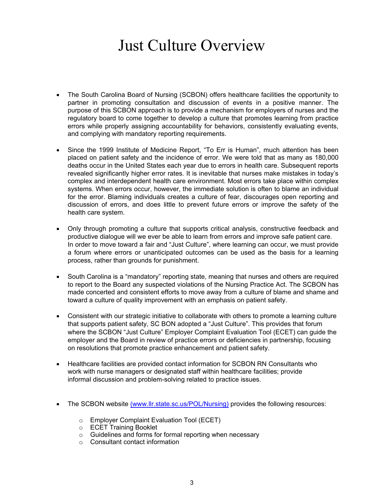# Just Culture Overview

- The South Carolina Board of Nursing (SCBON) offers healthcare facilities the opportunity to partner in promoting consultation and discussion of events in a positive manner. The purpose of this SCBON approach is to provide a mechanism for employers of nurses and the regulatory board to come together to develop a culture that promotes learning from practice errors while properly assigning accountability for behaviors, consistently evaluating events, and complying with mandatory reporting requirements.
- Since the 1999 Institute of Medicine Report, "To Err is Human", much attention has been placed on patient safety and the incidence of error. We were told that as many as 180,000 deaths occur in the United States each year due to errors in health care. Subsequent reports revealed significantly higher error rates. It is inevitable that nurses make mistakes in today's complex and interdependent health care environment. Most errors take place within complex systems. When errors occur, however, the immediate solution is often to blame an individual for the error. Blaming individuals creates a culture of fear, discourages open reporting and discussion of errors, and does little to prevent future errors or improve the safety of the health care system.
- Only through promoting a culture that supports critical analysis, constructive feedback and productive dialogue will we ever be able to learn from errors and improve safe patient care. In order to move toward a fair and "Just Culture", where learning can occur, we must provide a forum where errors or unanticipated outcomes can be used as the basis for a learning process, rather than grounds for punishment.
- South Carolina is a "mandatory" reporting state, meaning that nurses and others are required to report to the Board any suspected violations of the Nursing Practice Act. The SCBON has made concerted and consistent efforts to move away from a culture of blame and shame and toward a culture of quality improvement with an emphasis on patient safety.
- Consistent with our strategic initiative to collaborate with others to promote a learning culture that supports patient safety, SC BON adopted a "Just Culture". This provides that forum where the SCBON "Just Culture" Employer Complaint Evaluation Tool (ECET) can guide the employer and the Board in review of practice errors or deficiencies in partnership, focusing on resolutions that promote practice enhancement and patient safety.
- Healthcare facilities are provided contact information for SCBON RN Consultants who work with nurse managers or designated staff within healthcare facilities; provide informal discussion and problem-solving related to practice issues.
- The SCBON website (www.llr.state.sc.us/POL/Nursing) provides the following resources:
	- o Employer Complaint Evaluation Tool (ECET)
	- o ECET Training Booklet
	- o Guidelines and forms for formal reporting when necessary
	- o Consultant contact information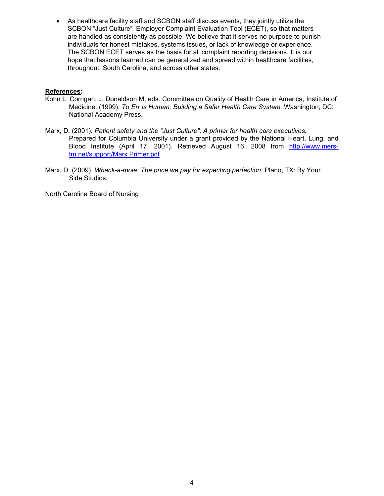• As healthcare facility staff and SCBON staff discuss events, they jointly utilize the SCBON "Just Culture" Employer Complaint Evaluation Tool (ECET), so that matters are handled as consistently as possible. We believe that it serves no purpose to punish individuals for honest mistakes, systems issues, or lack of knowledge or experience. The SCBON ECET serves as the basis for all complaint reporting decisions. It is our hope that lessons learned can be generalized and spread within healthcare facilities, throughout South Carolina, and across other states.

#### **References:**

- Kohn L, Corrigan, J, Donaldson M, eds. Committee on Quality of Health Care in America, Institute of Medicine. (1999). *To Err is Human: Building a Safer Health Care System.* Washington, DC: National Academy Press.
- Marx, D. (2001). *Patient safety and the "Just Culture": A primer for health care executives.* Prepared for Columbia University under a grant provided by the National Heart, Lung, and Blood Institute (April 17, 2001). Retrieved August 16, 2008 from [http://www.mers](http://www.mers-tm.net/support/Marx_Primer.pdf)[tm.net/support/Marx Primer.pdf](http://www.mers-tm.net/support/Marx_Primer.pdf)
- Marx, D. (2009). *Whack-a-mole: The price we pay for expecting perfection.* Plano, TX: By Your Side Studios.

North Carolina Board of Nursing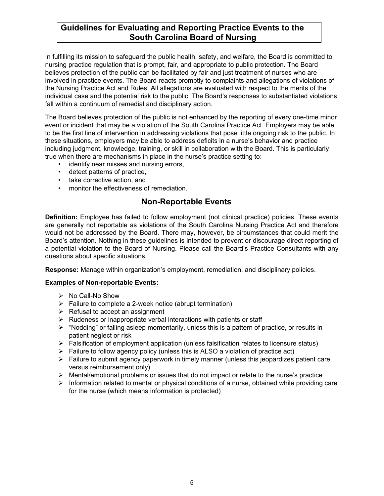In fulfilling its mission to safeguard the public health, safety, and welfare, the Board is committed to nursing practice regulation that is prompt, fair, and appropriate to public protection. The Board believes protection of the public can be facilitated by fair and just treatment of nurses who are involved in practice events. The Board reacts promptly to complaints and allegations of violations of the Nursing Practice Act and Rules. All allegations are evaluated with respect to the merits of the individual case and the potential risk to the public. The Board's responses to substantiated violations fall within a continuum of remedial and disciplinary action.

The Board believes protection of the public is not enhanced by the reporting of every one-time minor event or incident that may be a violation of the South Carolina Practice Act. Employers may be able to be the first line of intervention in addressing violations that pose little ongoing risk to the public. In these situations, employers may be able to address deficits in a nurse's behavior and practice including judgment, knowledge, training, or skill in collaboration with the Board. This is particularly true when there are mechanisms in place in the nurse's practice setting to:

- identify near misses and nursing errors,
- detect patterns of practice,
- take corrective action, and
- monitor the effectiveness of remediation.

## **Non-Reportable Events**

**Definition:** Employee has failed to follow employment (not clinical practice) policies. These events are generally not reportable as violations of the South Carolina Nursing Practice Act and therefore would not be addressed by the Board. There may, however, be circumstances that could merit the Board's attention. Nothing in these guidelines is intended to prevent or discourage direct reporting of a potential violation to the Board of Nursing. Please call the Board's Practice Consultants with any questions about specific situations.

**Response:** Manage within organization's employment, remediation, and disciplinary policies.

#### **Examples of Non-reportable Events:**

- $\triangleright$  No Call-No Show
- $\triangleright$  Failure to complete a 2-week notice (abrupt termination)
- $\triangleright$  Refusal to accept an assignment
- $\triangleright$  Rudeness or inappropriate verbal interactions with patients or staff
- $\triangleright$  "Nodding" or falling asleep momentarily, unless this is a pattern of practice, or results in patient neglect or risk
- Falsification of employment application (unless falsification relates to licensure status)
- $\triangleright$  Failure to follow agency policy (unless this is ALSO a violation of practice act)
- $\triangleright$  Failure to submit agency paperwork in timely manner (unless this jeopardizes patient care versus reimbursement only)
- $\triangleright$  Mental/emotional problems or issues that do not impact or relate to the nurse's practice
- $\triangleright$  Information related to mental or physical conditions of a nurse, obtained while providing care for the nurse (which means information is protected)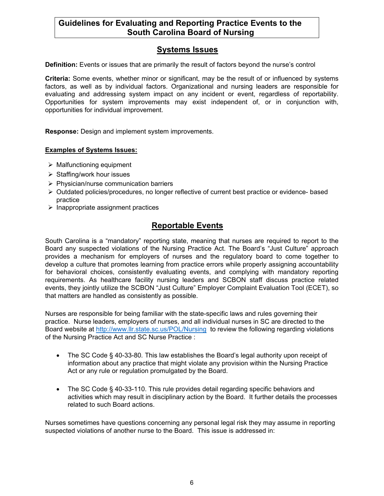## **Systems Issues**

**Definition:** Events or issues that are primarily the result of factors beyond the nurse's control

**Criteria:** Some events, whether minor or significant, may be the result of or influenced by systems factors, as well as by individual factors. Organizational and nursing leaders are responsible for evaluating and addressing system impact on any incident or event, regardless of reportability. Opportunities for system improvements may exist independent of, or in conjunction with, opportunities for individual improvement.

**Response:** Design and implement system improvements.

#### **Examples of Systems Issues:**

- $\triangleright$  Malfunctioning equipment
- $\triangleright$  Staffing/work hour issues
- $\triangleright$  Physician/nurse communication barriers
- $\triangleright$  Outdated policies/procedures, no longer reflective of current best practice or evidence- based practice
- $\triangleright$  Inappropriate assignment practices

## **Reportable Events**

South Carolina is a "mandatory" reporting state, meaning that nurses are required to report to the Board any suspected violations of the Nursing Practice Act. The Board's "Just Culture" approach provides a mechanism for employers of nurses and the regulatory board to come together to develop a culture that promotes learning from practice errors while properly assigning accountability for behavioral choices, consistently evaluating events, and complying with mandatory reporting requirements. As healthcare facility nursing leaders and SCBON staff discuss practice related events, they jointly utilize the SCBON "Just Culture" Employer Complaint Evaluation Tool (ECET), so that matters are handled as consistently as possible.

Nurses are responsible for being familiar with the state-specific laws and rules governing their practice. Nurse leaders, employers of nurses, and all individual nurses in SC are directed to the Board website at<http://www.llr.state.sc.us/POL/Nursing> to review the following regarding violations of the Nursing Practice Act and SC Nurse Practice :

- The SC Code § 40-33-80*.* This law establishes the Board's legal authority upon receipt of information about any practice that might violate any provision within the Nursing Practice Act or any rule or regulation promulgated by the Board.
- The SC Code § 40-33-110. This rule provides detail regarding specific behaviors and activities which may result in disciplinary action by the Board. It further details the processes related to such Board actions.

Nurses sometimes have questions concerning any personal legal risk they may assume in reporting suspected violations of another nurse to the Board. This issue is addressed in: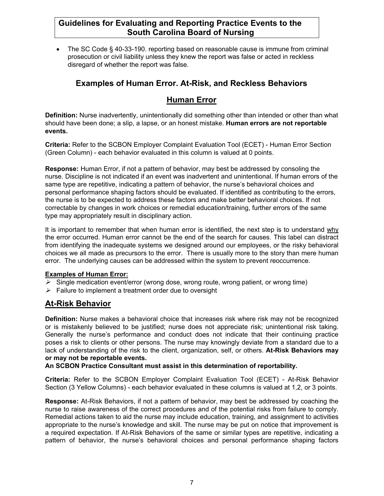• The SC Code § 40-33-190. reporting based on reasonable cause is immune from criminal prosecution or civil liability unless they knew the report was false or acted in reckless disregard of whether the report was false.

## **Examples of Human Error. At-Risk, and Reckless Behaviors**

## **Human Error**

**Definition:** Nurse inadvertently, unintentionally did something other than intended or other than what should have been done; a slip, a lapse, or an honest mistake. **Human errors are not reportable events.**

**Criteria:** Refer to the SCBON Employer Complaint Evaluation Tool (ECET) - Human Error Section (Green Column) - each behavior evaluated in this column is valued at 0 points.

**Response:** Human Error, if not a pattern of behavior, may best be addressed by consoling the nurse. Discipline is not indicated if an event was inadvertent and unintentional. If human errors of the same type are repetitive, indicating a pattern of behavior, the nurse's behavioral choices and personal performance shaping factors should be evaluated. If identified as contributing to the errors, the nurse is to be expected to address these factors and make better behavioral choices. If not correctable by changes in work choices or remedial education/training, further errors of the same type may appropriately result in disciplinary action.

It is important to remember that when human error is identified, the next step is to understand why the error occurred. Human error cannot be the end of the search for causes. This label can distract from identifying the inadequate systems we designed around our employees, or the risky behavioral choices we all made as precursors to the error. There is usually more to the story than mere human error. The underlying causes can be addressed within the system to prevent reoccurrence.

#### **Examples of Human Error:**

- $\triangleright$  Single medication event/error (wrong dose, wrong route, wrong patient, or wrong time)
- $\triangleright$  Failure to implement a treatment order due to oversight

## **At-Risk Behavior**

**Definition:** Nurse makes a behavioral choice that increases risk where risk may not be recognized or is mistakenly believed to be justified; nurse does not appreciate risk; unintentional risk taking. Generally the nurse's performance and conduct does not indicate that their continuing practice poses a risk to clients or other persons. The nurse may knowingly deviate from a standard due to a lack of understanding of the risk to the client, organization, self, or others. **At-Risk Behaviors may or may not be reportable events.**

#### **An SCBON Practice Consultant must assist in this determination of reportability.**

**Criteria:** Refer to the SCBON Employer Complaint Evaluation Tool (ECET) - At-Risk Behavior Section (3 Yellow Columns) - each behavior evaluated in these columns is valued at 1,2, or 3 points.

**Response:** At-Risk Behaviors, if not a pattern of behavior, may best be addressed by coaching the nurse to raise awareness of the correct procedures and of the potential risks from failure to comply. Remedial actions taken to aid the nurse may include education, training, and assignment to activities appropriate to the nurse's knowledge and skill. The nurse may be put on notice that improvement is a required expectation. If At-Risk Behaviors of the same or similar types are repetitive, indicating a pattern of behavior, the nurse's behavioral choices and personal performance shaping factors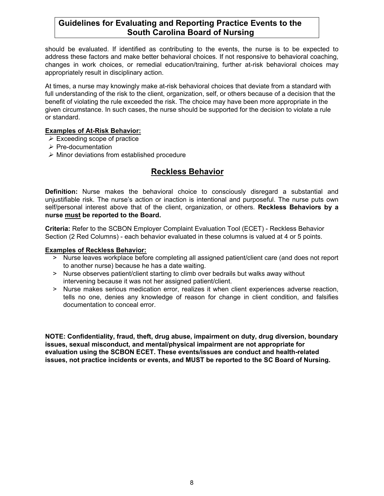should be evaluated. If identified as contributing to the events, the nurse is to be expected to address these factors and make better behavioral choices. If not responsive to behavioral coaching, changes in work choices, or remedial education/training, further at-risk behavioral choices may appropriately result in disciplinary action.

At times, a nurse may knowingly make at-risk behavioral choices that deviate from a standard with full understanding of the risk to the client, organization, self, or others because of a decision that the benefit of violating the rule exceeded the risk. The choice may have been more appropriate in the given circumstance. In such cases, the nurse should be supported for the decision to violate a rule or standard.

#### **Examples of At-Risk Behavior:**

- $\triangleright$  Exceeding scope of practice
- $\triangleright$  Pre-documentation
- $\triangleright$  Minor deviations from established procedure

## **Reckless Behavior**

**Definition:** Nurse makes the behavioral choice to consciously disregard a substantial and unjustifiable risk. The nurse's action or inaction is intentional and purposeful. The nurse puts own self/personal interest above that of the client, organization, or others. **Reckless Behaviors by a nurse must be reported to the Board.**

**Criteria:** Refer to the SCBON Employer Complaint Evaluation Tool (ECET) - Reckless Behavior Section (2 Red Columns) - each behavior evaluated in these columns is valued at 4 or 5 points.

#### **Examples of Reckless Behavior:**

- *>* Nurse leaves workplace before completing all assigned patient/client care (and does not report to another nurse) because he has a date waiting.
- *>* Nurse observes patient/client starting to climb over bedrails but walks away without intervening because it was not her assigned patient/client.
- *>* Nurse makes serious medication error, realizes it when client experiences adverse reaction, tells no one, denies any knowledge of reason for change in client condition, and falsifies documentation to conceal error.

**NOTE: Confidentiality, fraud, theft, drug abuse, impairment on duty, drug diversion, boundary issues, sexual misconduct, and mental/physical impairment are not appropriate for evaluation using the SCBON ECET. These events/issues are conduct and health-related issues, not practice incidents or events, and MUST be reported to the SC Board of Nursing.**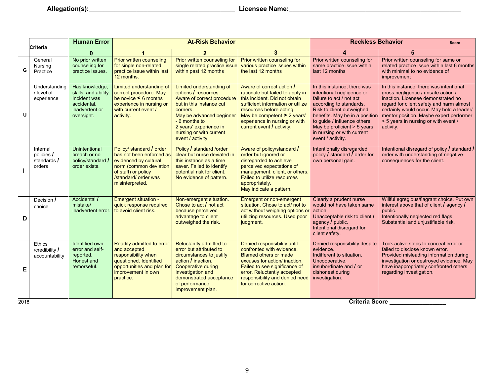|      | <b>Criteria</b>                                   | <b>Human Error</b>                                                                                    | <b>At-Risk Behavior</b>                                                                                                                                                   |                                                                                                                                                                                                                                               |                                                                                                                                                                                                                                                                           | <b>Reckless Behavior</b><br><b>Score</b>                                                                                                                                                                                                                                                         |                                                                                                                                                                                                                                                                                                              |  |
|------|---------------------------------------------------|-------------------------------------------------------------------------------------------------------|---------------------------------------------------------------------------------------------------------------------------------------------------------------------------|-----------------------------------------------------------------------------------------------------------------------------------------------------------------------------------------------------------------------------------------------|---------------------------------------------------------------------------------------------------------------------------------------------------------------------------------------------------------------------------------------------------------------------------|--------------------------------------------------------------------------------------------------------------------------------------------------------------------------------------------------------------------------------------------------------------------------------------------------|--------------------------------------------------------------------------------------------------------------------------------------------------------------------------------------------------------------------------------------------------------------------------------------------------------------|--|
|      |                                                   | $\bf{0}$                                                                                              |                                                                                                                                                                           |                                                                                                                                                                                                                                               | $\mathbf{3}$                                                                                                                                                                                                                                                              | $\boldsymbol{\Lambda}$                                                                                                                                                                                                                                                                           | 5                                                                                                                                                                                                                                                                                                            |  |
| G    | General<br>Nursing<br>Practice                    | No prior written<br>counseling for<br>practice issues.                                                | Prior written counseling<br>for single non-related<br>practice issue within last<br>12 months.                                                                            | Prior written counseling for<br>single related practice issue<br>within past 12 months                                                                                                                                                        | Prior written counseling for<br>various practice issues within<br>the last 12 months                                                                                                                                                                                      | Prior written counseling for<br>same practice issue within<br>last 12 months                                                                                                                                                                                                                     | Prior written counseling for same or<br>related practice issue within last 6 months<br>with minimal to no evidence of<br>improvement                                                                                                                                                                         |  |
| u    | Understanding<br>/ level of<br>experience         | Has knowledge,<br>skills, and ability.<br>Incident was<br>accidental,<br>inadvertent or<br>oversight. | Limited understanding of<br>correct procedure. May<br>be novice $\leq 6$ months<br>experience in nursing or<br>with current event /<br>activity.                          | Limited understanding of<br>options / resources.<br>Aware of correct procedure<br>but in this instance cut<br>corners.<br>May be advanced beginner<br>- 6 months to<br>2 years' experience in<br>nursing or with current<br>event / activity. | Aware of correct action /<br>rationale but failed to apply in<br>this incident. Did not obtain<br>sufficient information or utilize<br>resources before acting.<br>May be competent > 2 years'<br>experience in nursing or with<br>current event $\overline{I}$ activity. | In this instance, there was<br>intentional negligence or<br>failure to act / not act<br>according to standards.<br>Risk to client outweighed<br>benefits. May be in a position<br>to guide / influence others.<br>May be proficient > 5 years<br>in nursing or with current<br>event / activity. | In this instance, there was intentional<br>gross negligence / unsafe action /<br>inaction. Licensee demonstrated no<br>regard for client safety and harm almost<br>certainly would occur. May hold a leader/<br>mentor position. Maybe expert performer<br>> 5 years in nursing or with event /<br>activity. |  |
|      | Internal<br>policies /<br>standards /<br>orders   | Unintentional<br>breach or no<br>policy/standard /<br>order exists.                                   | Policy/ standard / order<br>has not been enforced as<br>evidenced by cultural<br>norm (common deviation<br>of staff) or policy<br>/standard/ order was<br>misinterpreted. | Policy / standard /order<br>clear but nurse deviated in<br>this instance as a time<br>saver. Failed to identify<br>potential risk for client.<br>No evidence of pattern.                                                                      | Aware of policy/standard /<br>order but ignored or<br>disregarded to achieve<br>perceived expectations of<br>management, client, or others.<br>Failed to utilize resources<br>appropriately.<br>May indicate a pattern.                                                   | Intentionally disregarded<br>policy $\overline{I}$ standard $\overline{I}$ order for<br>own personal gain.                                                                                                                                                                                       | Intentional disregard of policy / standard /<br>order with understanding of negative<br>consequences for the client.                                                                                                                                                                                         |  |
| D    | Decision /<br>choice                              | Accidental /<br>mistake/<br>inadvertent error.                                                        | Emergent situation -<br>quick response required<br>to avoid client risk.                                                                                                  | Non-emergent situation.<br>Chose to act / not act<br>because perceived<br>advantage to client<br>outweighed the risk.                                                                                                                         | <b>Emergent or non-emergent</b><br>situation. Chose to act/ not to<br>act without weighing options o<br>utilizing resources. Used poor<br>judgment.                                                                                                                       | Clearly a prudent nurse<br>would not have taken same<br>action.<br>Unacceptable risk to client /<br>agency $\prime$ public.<br>Intentional disregard for<br>client safety.                                                                                                                       | Willful egregious/flagrant choice. Put own<br>interest above that of client / agency /<br>public.<br>Intentionally neglected red flags.<br>Substantial and unjustifiable risk.                                                                                                                               |  |
| Е    | <b>Ethics</b><br>/credibility /<br>accountability | <b>Identified own</b><br>error and self-<br>reported.<br>Honest and<br>remorseful.                    | Readily admitted to error<br>and accepted<br>responsibility when<br>questioned. Identified<br>opportunities and plan for<br>improvement in own<br>practice.               | Reluctantly admitted to<br>error but attributed to<br>circumstances to justify<br>action / inaction.<br>Cooperative during<br>investigation and<br>demonstrated acceptance<br>of performance<br>improvement plan.                             | Denied responsibility until<br>confronted with evidence.<br><b>Blamed others or made</b><br>excuses for action/ inaction.<br>Failed to see significance of<br>error. Reluctantly accepted<br>responsibility and denied need<br>for corrective action.                     | Denied responsibility despite<br>evidence.<br>Indifferent to situation.<br>Uncooperative,<br>insubordinate and / or<br>dishonest during<br>investigation.                                                                                                                                        | Took active steps to conceal error or<br>failed to disclose known error.<br>Provided misleading information during<br>investigation or destroyed evidence. May<br>have inappropriately confronted others<br>regarding investigation.                                                                         |  |
| 2018 | <b>Criteria Score</b>                             |                                                                                                       |                                                                                                                                                                           |                                                                                                                                                                                                                                               |                                                                                                                                                                                                                                                                           |                                                                                                                                                                                                                                                                                                  |                                                                                                                                                                                                                                                                                                              |  |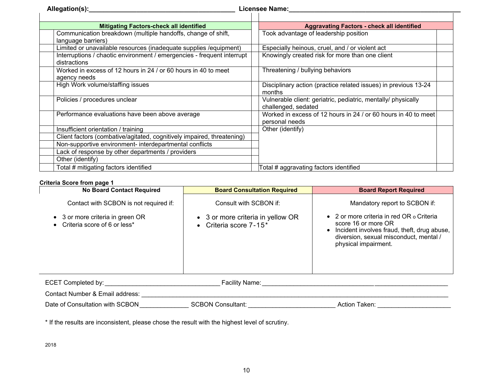| Allegation(s):_                                                                        | <b>Licensee Name:</b>                                                                |
|----------------------------------------------------------------------------------------|--------------------------------------------------------------------------------------|
| <b>Mitigating Factors-check all identified</b>                                         | <b>Aggravating Factors - check all identified</b>                                    |
| Communication breakdown (multiple handoffs, change of shift,<br>language barriers)     | Took advantage of leadership position                                                |
| Limited or unavailable resources (inadequate supplies /equipment)                      | Especially heinous, cruel, and / or violent act                                      |
| Interruptions / chaotic environment / emergencies - frequent interrupt<br>distractions | Knowingly created risk for more than one client                                      |
| Worked in excess of 12 hours in 24 / or 60 hours in 40 to meet<br>agency needs         | Threatening / bullying behaviors                                                     |
| High Work volume/staffing issues                                                       | Disciplinary action (practice related issues) in previous 13-24<br>months            |
| Policies / procedures unclear                                                          | Vulnerable client: geriatric, pediatric, mentally/ physically<br>challenged, sedated |
| Performance evaluations have been above average                                        | Worked in excess of 12 hours in 24 / or 60 hours in 40 to meet<br>personal needs     |
| Insufficient orientation / training                                                    | Other (identify)                                                                     |
| Client factors (combative/agitated, cognitively impaired, threatening)                 |                                                                                      |
| Non-supportive environment- interdepartmental conflicts                                |                                                                                      |
| Lack of response by other departments / providers                                      |                                                                                      |
| Other (identify)                                                                       |                                                                                      |
| Total # mitigating factors identified                                                  | Total # aggravating factors identified                                               |

#### **Criteria Score from page 1**

| <b>No Board Contact Required</b>                                                                             | <b>Board Consultation Required</b>                                                       | <b>Board Report Required</b>                                                                                                                                                                                               |  |  |
|--------------------------------------------------------------------------------------------------------------|------------------------------------------------------------------------------------------|----------------------------------------------------------------------------------------------------------------------------------------------------------------------------------------------------------------------------|--|--|
| Contact with SCBON is not required if:<br>• 3 or more criteria in green OR<br>• Criteria score of 6 or less* | Consult with SCBON if:<br>• 3 or more criteria in yellow OR<br>• Criteria score $7-15^*$ | Mandatory report to SCBON if:<br>• 2 or more criteria in red OR $\circ$ Criteria<br>score 16 or more OR<br>• Incident involves fraud, theft, drug abuse,<br>diversion, sexual misconduct, mental /<br>physical impairment. |  |  |
| ECET Completed by:<br><b>Facility Name:</b>                                                                  |                                                                                          |                                                                                                                                                                                                                            |  |  |

Contact Number & Email address: \_\_\_\_\_\_\_\_\_\_\_\_\_\_\_\_\_\_\_\_\_\_\_\_\_\_\_\_\_\_\_\_\_\_\_\_\_\_\_\_\_\_\_\_\_\_\_\_\_\_\_\_\_\_\_\_\_\_\_\_\_\_\_\_\_\_\_\_\_\_\_\_\_\_\_\_\_\_\_\_\_\_\_\_\_\_\_\_ Date of Consultation with SCBON \_\_\_\_\_\_\_\_\_\_\_\_\_\_ SCBON Consultant: \_\_\_\_\_\_\_\_\_\_\_\_\_\_\_\_\_\_\_\_\_\_\_\_\_ Action Taken: \_\_\_\_\_\_\_\_\_\_\_\_\_\_\_\_\_\_\_\_\_

\* If the results are inconsistent, please chose the result with the highest level of scrutiny.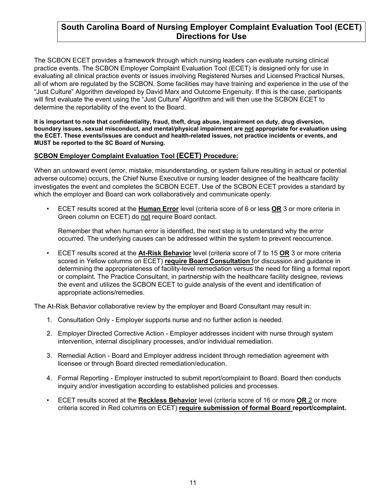## **South Carolina Board of Nursing Employer Complaint Evaluation Tool (ECET) Directions for Use**

The SCBON ECET provides a framework through which nursing leaders can evaluate nursing clinical practice events. The SCBON Employer Complaint Evaluation Tool (ECET) is designed only for use in evaluating all clinical practice events or issues involving Registered Nurses and Licensed Practical Nurses, all of whom are regulated by the SCBON. Some facilities may have training and experience in the use of the "Just Culture" Algorithm developed by David Marx and Outcome Engenuity. If this is the case, participants will first evaluate the event using the "Just Culture" Algorithm and will then use the SCBON ECET to determine the reportability of the event to the Board.

**It is important to note that confidentiality, fraud, theft, drug abuse, impairment on duty, drug diversion, boundary issues, sexual misconduct, and mental/physical impairment are not appropriate for evaluation using the ECET. These events/issues are conduct and health-related issues, not practice incidents or events, and MUST be reported to the SC Board of Nursing.**

#### **SCBON Employer Complaint Evaluation Tool (ECET) Procedure:**

When an untoward event (error, mistake, misunderstanding, or system failure resulting in actual or potential adverse outcome) occurs, the Chief Nurse Executive or nursing leader designee of the healthcare facility investigates the event and completes the SCBON ECET. Use of the SCBON ECET provides a standard by which the employer and Board can work collaboratively and communicate openly.

• ECET results scored at the **Human Error** level (criteria score of 6 or less **OR** 3 or more criteria in Green column on ECET) do not require Board contact.

Remember that when human error is identified, the next step is to understand why the error occurred. The underlying causes can be addressed within the system to prevent reoccurrence.

• ECET results scored at the **At-Risk Behavior** level (criteria score of 7 to 15 **OR** 3 or more criteria scored in Yellow columns on ECET) **require Board Consultation** for discussion and guidance in determining the appropriateness of facility-level remediation versus the need for filing a formal report or complaint. The Practice Consultant, in partnership with the healthcare facility designee, reviews the event and utilizes the SCBON ECET to guide analysis of the event and identification of appropriate actions/remedies.

The At-Risk Behavior collaborative review by the employer and Board Consultant may result in:

- 1. Consultation Only Employer supports nurse and no further action is needed.
- 2. Employer Directed Corrective Action Employer addresses incident with nurse through system intervention, internal disciplinary processes, and/or individual remediation.
- 3. Remedial Action Board and Employer address incident through remediation agreement with licensee or through Board directed remediation/education.
- 4. Formal Reporting Employer instructed to submit report/complaint to Board. Board then conducts inquiry and/or investigation according to established policies and processes.
- ECET results scored at the **Reckless Behavior** level (criteria score of 16 or more **OR** 2 or more criteria scored in Red columns on ECET) **require submission of formal Board report/complaint.**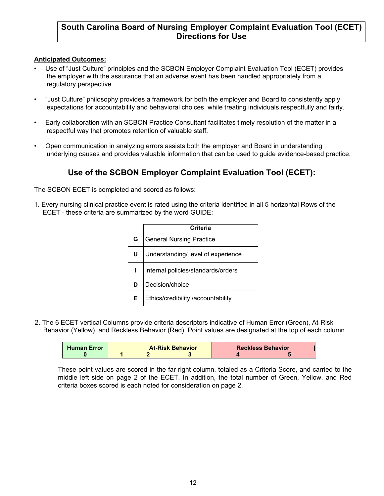## **South Carolina Board of Nursing Employer Complaint Evaluation Tool (ECET) Directions for Use**

#### **Anticipated Outcomes:**

- Use of "Just Culture" principles and the SCBON Employer Complaint Evaluation Tool (ECET) provides the employer with the assurance that an adverse event has been handled appropriately from a regulatory perspective.
- "Just Culture" philosophy provides a framework for both the employer and Board to consistently apply expectations for accountability and behavioral choices, while treating individuals respectfully and fairly.
- Early collaboration with an SCBON Practice Consultant facilitates timely resolution of the matter in a respectful way that promotes retention of valuable staff.
- Open communication in analyzing errors assists both the employer and Board in understanding underlying causes and provides valuable information that can be used to guide evidence-based practice.

## **Use of the SCBON Employer Complaint Evaluation Tool (ECET):**

The SCBON ECET is completed and scored as follows:

1. Every nursing clinical practice event is rated using the criteria identified in all 5 horizontal Rows of the ECET - these criteria are summarized by the word GUIDE:

|    | Criteria                           |
|----|------------------------------------|
| G  | <b>General Nursing Practice</b>    |
| U  | Understanding/ level of experience |
|    | Internal policies/standards/orders |
| D  | Decision/choice                    |
| E. | Ethics/credibility /accountability |

2. The 6 ECET vertical Columns provide criteria descriptors indicative of Human Error (Green), At-Risk Behavior (Yellow), and Reckless Behavior (Red). Point values are designated at the top of each column.

| <b>Human Error</b> | <b>At-Risk Behavior</b> |  |  | <b>Reckless Behavior</b> |  |
|--------------------|-------------------------|--|--|--------------------------|--|
|                    |                         |  |  |                          |  |

These point values are scored in the far-right column, totaled as a Criteria Score, and carried to the middle left side on page 2 of the ECET. In addition, the total number of Green, Yellow, and Red criteria boxes scored is each noted for consideration on page 2.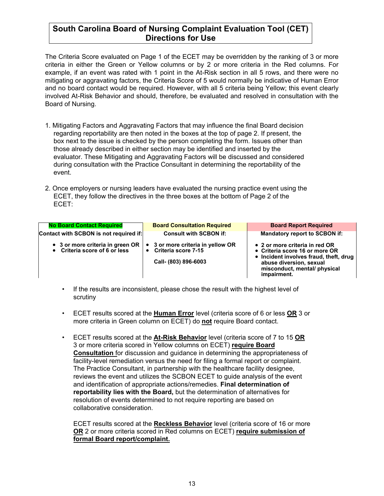## **South Carolina Board of Nursing Complaint Evaluation Tool (CET) Directions for Use**

The Criteria Score evaluated on Page 1 of the ECET may be overridden by the ranking of 3 or more criteria in either the Green or Yellow columns or by 2 or more criteria in the Red columns. For example, if an event was rated with 1 point in the At-Risk section in all 5 rows, and there were no mitigating or aggravating factors, the Criteria Score of 5 would normally be indicative of Human Error and no board contact would be required. However, with all 5 criteria being Yellow; this event clearly involved At-Risk Behavior and should, therefore, be evaluated and resolved in consultation with the Board of Nursing.

- 1. Mitigating Factors and Aggravating Factors that may influence the final Board decision regarding reportability are then noted in the boxes at the top of page 2. If present, the box next to the issue is checked by the person completing the form. Issues other than those already described in either section may be identified and inserted by the evaluator. These Mitigating and Aggravating Factors will be discussed and considered during consultation with the Practice Consultant in determining the reportability of the event.
- 2. Once employers or nursing leaders have evaluated the nursing practice event using the ECET, they follow the directives in the three boxes at the bottom of Page 2 of the ECET:

| <b>No Board Contact Required</b>                                  | <b>Board Consultation Required</b>                                                 | <b>Board Report Required</b>                                                                                                                                                        |
|-------------------------------------------------------------------|------------------------------------------------------------------------------------|-------------------------------------------------------------------------------------------------------------------------------------------------------------------------------------|
| Contact with SCBON is not required if:                            | <b>Consult with SCBON if:</b>                                                      | Mandatory report to SCBON if:                                                                                                                                                       |
| • 3 or more criteria in green OR<br>• Criteria score of 6 or less | • 3 or more criteria in yellow OR<br>• Criteria score 7-15<br>Call- (803) 896-6003 | • 2 or more criteria in red OR<br>• Criteria score 16 or more OR<br>• Incident involves fraud, theft, drug<br>abuse diversion, sexual<br>misconduct, mental/physical<br>impairment. |

- If the results are inconsistent, please chose the result with the highest level of scrutiny
- ECET results scored at the **Human Error** level (criteria score of 6 or less **OR** 3 or more criteria in Green column on ECET) do **not** require Board contact.
- ECET results scored at the **At-Risk Behavior** level (criteria score of 7 to 15 **OR** 3 or more criteria scored in Yellow columns on ECET) **require Board Consultation** for discussion and guidance in determining the appropriateness of facility-level remediation versus the need for filing a formal report or complaint. The Practice Consultant, in partnership with the healthcare facility designee, reviews the event and utilizes the SCBON ECET to guide analysis of the event and identification of appropriate actions/remedies. **Final determination of reportability lies with the Board,** but the determination of alternatives for resolution of events determined to not require reporting are based on collaborative consideration.

ECET results scored at the **Reckless Behavior** level (criteria score of 16 or more **OR** 2 or more criteria scored in Red columns on ECET) **require submission of formal Board report/complaint.**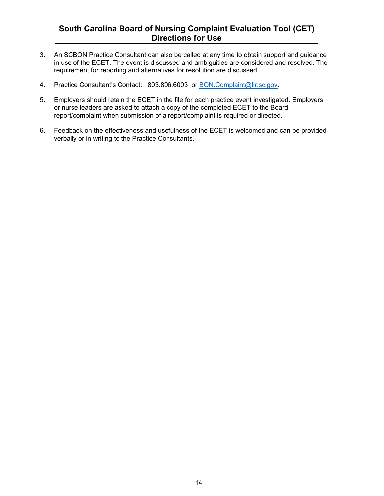## **South Carolina Board of Nursing Complaint Evaluation Tool (CET) Directions for Use**

- 3. An SCBON Practice Consultant can also be called at any time to obtain support and guidance in use of the ECET. The event is discussed and ambiguities are considered and resolved. The requirement for reporting and alternatives for resolution are discussed.
- 4. Practice Consultant's Contact: 803.896.6003 or **BON.Complaint@llr.sc.gov.**
- 5. Employers should retain the ECET in the file for each practice event investigated. Employers or nurse leaders are asked to attach a copy of the completed ECET to the Board report/complaint when submission of a report/complaint is required or directed.
- 6. Feedback on the effectiveness and usefulness of the ECET is welcomed and can be provided verbally or in writing to the Practice Consultants.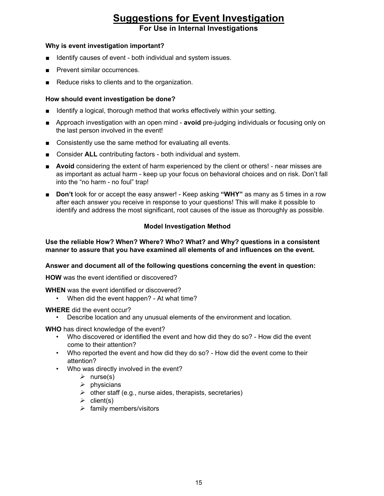# **Suggestions for Event Investigation**

**For Use in Internal Investigations**

#### **Why is event investigation important?**

- Identify causes of event both individual and system issues.
- Prevent similar occurrences.
- Reduce risks to clients and to the organization.

#### **How should event investigation be done?**

- Identify a logical, thorough method that works effectively within your setting.
- Approach investigation with an open mind **avoid** pre-judging individuals or focusing only on the last person involved in the event!
- Consistently use the same method for evaluating all events.
- Consider **ALL** contributing factors both individual and system.
- **Avoid** considering the extent of harm experienced by the client or others! near misses are as important as actual harm - keep up your focus on behavioral choices and on risk. Don't fall into the "no harm - no foul" trap!
- **Don't** look for or accept the easy answer! Keep asking "WHY" as many as 5 times in a row after each answer you receive in response to your questions! This will make it possible to identify and address the most significant, root causes of the issue as thoroughly as possible.

#### **Model Investigation Method**

**Use the reliable How? When? Where? Who? What? and Why? questions in a consistent manner to assure that you have examined all elements of and influences on the event.**

#### **Answer and document all of the following questions concerning the event in question:**

**HOW** was the event identified or discovered?

**WHEN** was the event identified or discovered?

• When did the event happen? - At what time?

#### **WHERE** did the event occur?

• Describe location and any unusual elements of the environment and location.

**WHO** has direct knowledge of the event?

- Who discovered or identified the event and how did they do so? How did the event come to their attention?
- Who reported the event and how did they do so? How did the event come to their attention?
- Who was directly involved in the event?
	- $\triangleright$  nurse(s)
	- $\triangleright$  physicians
	- $\triangleright$  other staff (e.g., nurse aides, therapists, secretaries)
	- $\triangleright$  client(s)
	- $\triangleright$  family members/visitors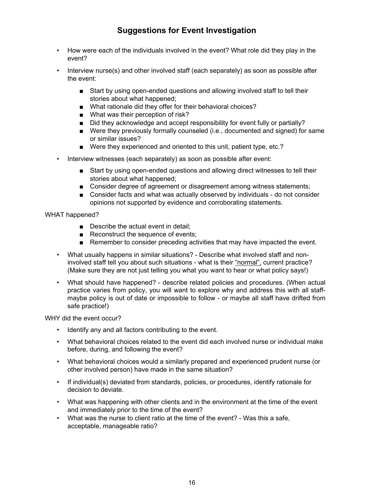## **Suggestions for Event Investigation**

- How were each of the individuals involved in the event? What role did they play in the event?
- Interview nurse(s) and other involved staff (each separately) as soon as possible after the event:
	- Start by using open-ended questions and allowing involved staff to tell their stories about what happened;
	- What rationale did they offer for their behavioral choices?
	- What was their perception of risk?
	- Did they acknowledge and accept responsibility for event fully or partially?
	- Were they previously formally counseled (i.e., documented and signed) for same or similar issues?
	- Were they experienced and oriented to this unit, patient type, etc.?
- Interview witnesses (each separately) as soon as possible after event:
	- Start by using open-ended questions and allowing direct witnesses to tell their stories about what happened;
	- Consider degree of agreement or disagreement among witness statements;
	- Consider facts and what was actually observed by individuals do not consider opinions not supported by evidence and corroborating statements.

#### WHAT happened?

- Describe the actual event in detail:
- Reconstruct the sequence of events;
- Remember to consider preceding activities that may have impacted the event.
- What usually happens in similar situations? Describe what involved staff and noninvolved staff tell you about such situations - what is their "normal", current practice? (Make sure they are not just telling you what you want to hear or what policy says!)
- What should have happened? describe related policies and procedures. (When actual practice varies from policy, you will want to explore why and address this with all staffmaybe policy is out of date or impossible to follow - or maybe all staff have drifted from safe practice!)

WHY did the event occur?

- Identify any and all factors contributing to the event.
- What behavioral choices related to the event did each involved nurse or individual make before, during, and following the event?
- What behavioral choices would a similarly prepared and experienced prudent nurse (or other involved person) have made in the same situation?
- If individual(s) deviated from standards, policies, or procedures, identify rationale for decision to deviate.
- What was happening with other clients and in the environment at the time of the event and immediately prior to the time of the event?
- What was the nurse to client ratio at the time of the event? Was this a safe, acceptable, manageable ratio?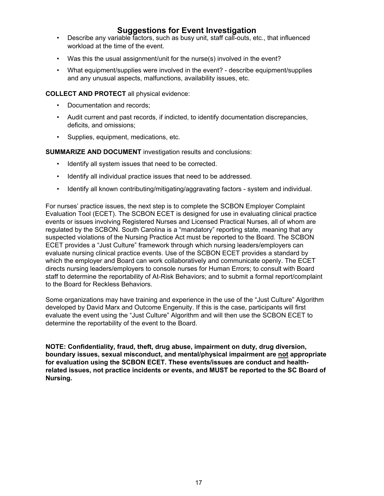### **Suggestions for Event Investigation**

- Describe any variable factors, such as busy unit, staff call-outs, etc., that influenced workload at the time of the event.
- Was this the usual assignment/unit for the nurse(s) involved in the event?
- What equipment/supplies were involved in the event? describe equipment/supplies and any unusual aspects, malfunctions, availability issues, etc.

**COLLECT AND PROTECT** all physical evidence:

- Documentation and records;
- Audit current and past records, if indicted, to identify documentation discrepancies, deficits, and omissions;
- Supplies, equipment, medications, etc.

**SUMMARIZE AND DOCUMENT** investigation results and conclusions:

- Identify all system issues that need to be corrected.
- Identify all individual practice issues that need to be addressed.
- Identify all known contributing/mitigating/aggravating factors system and individual.

For nurses' practice issues, the next step is to complete the SCBON Employer Complaint Evaluation Tool (ECET). The SCBON ECET is designed for use in evaluating clinical practice events or issues involving Registered Nurses and Licensed Practical Nurses, all of whom are regulated by the SCBON. South Carolina is a "mandatory" reporting state, meaning that any suspected violations of the Nursing Practice Act must be reported to the Board. The SCBON ECET provides a "Just Culture" framework through which nursing leaders/employers can evaluate nursing clinical practice events. Use of the SCBON ECET provides a standard by which the employer and Board can work collaboratively and communicate openly. The ECET directs nursing leaders/employers to console nurses for Human Errors; to consult with Board staff to determine the reportability of At-Risk Behaviors; and to submit a formal report/complaint to the Board for Reckless Behaviors.

Some organizations may have training and experience in the use of the "Just Culture" Algorithm developed by David Marx and Outcome Engenuity. If this is the case, participants will first evaluate the event using the "Just Culture" Algorithm and will then use the SCBON ECET to determine the reportability of the event to the Board.

**NOTE: Confidentiality, fraud, theft, drug abuse, impairment on duty, drug diversion, boundary issues, sexual misconduct, and mental/physical impairment are not appropriate for evaluation using the SCBON ECET. These events/issues are conduct and healthrelated issues, not practice incidents or events, and MUST be reported to the SC Board of Nursing.**